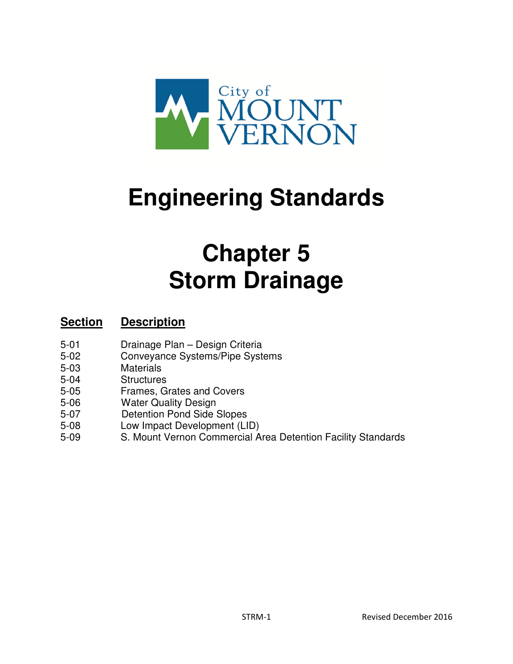

# **Engineering Standards**

# **Chapter 5 Storm Drainage**

#### **Section Description**

- 5-01 Drainage Plan Design Criteria
- 5-02 Conveyance Systems/Pipe Systems
- 5-03 Materials
- 5-04 Structures
- 5-05 Frames, Grates and Covers
- 5-06 Water Quality Design
- 5-07 Detention Pond Side Slopes
- 5-08 Low Impact Development (LID)
- 5-09 S. Mount Vernon Commercial Area Detention Facility Standards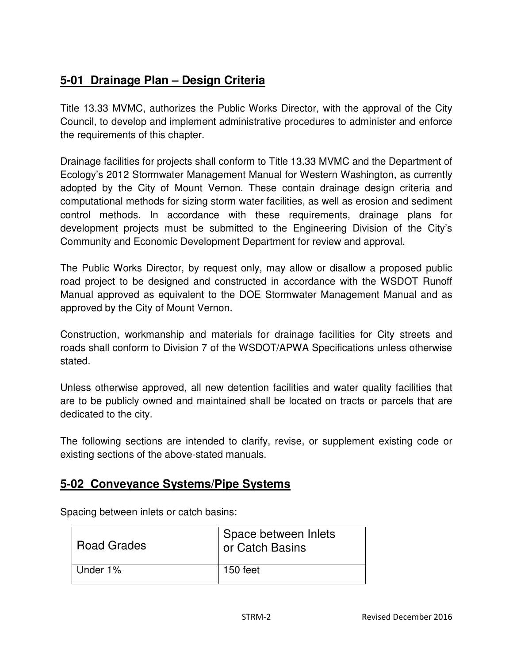### **5-01 Drainage Plan – Design Criteria**

Title 13.33 MVMC, authorizes the Public Works Director, with the approval of the City Council, to develop and implement administrative procedures to administer and enforce the requirements of this chapter.

Drainage facilities for projects shall conform to Title 13.33 MVMC and the Department of Ecology's 2012 Stormwater Management Manual for Western Washington, as currently adopted by the City of Mount Vernon. These contain drainage design criteria and computational methods for sizing storm water facilities, as well as erosion and sediment control methods. In accordance with these requirements, drainage plans for development projects must be submitted to the Engineering Division of the City's Community and Economic Development Department for review and approval.

The Public Works Director, by request only, may allow or disallow a proposed public road project to be designed and constructed in accordance with the WSDOT Runoff Manual approved as equivalent to the DOE Stormwater Management Manual and as approved by the City of Mount Vernon.

Construction, workmanship and materials for drainage facilities for City streets and roads shall conform to Division 7 of the WSDOT/APWA Specifications unless otherwise stated.

Unless otherwise approved, all new detention facilities and water quality facilities that are to be publicly owned and maintained shall be located on tracts or parcels that are dedicated to the city.

The following sections are intended to clarify, revise, or supplement existing code or existing sections of the above-stated manuals.

#### **5-02 Conveyance Systems/Pipe Systems**

| <b>Road Grades</b> | Space between Inlets<br>or Catch Basins |
|--------------------|-----------------------------------------|
| Under 1%           | 150 feet                                |

Spacing between inlets or catch basins: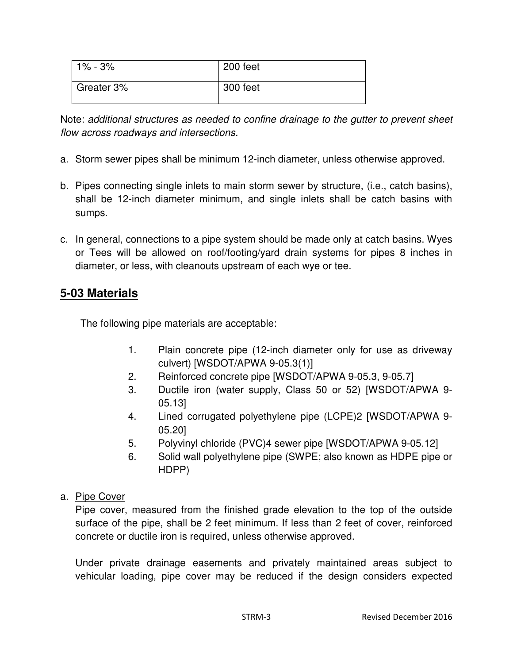| 1% - 3%    | 200 feet |
|------------|----------|
| Greater 3% | 300 feet |

Note: additional structures as needed to confine drainage to the gutter to prevent sheet flow across roadways and intersections.

- a. Storm sewer pipes shall be minimum 12-inch diameter, unless otherwise approved.
- b. Pipes connecting single inlets to main storm sewer by structure, (i.e., catch basins), shall be 12-inch diameter minimum, and single inlets shall be catch basins with sumps.
- c. In general, connections to a pipe system should be made only at catch basins. Wyes or Tees will be allowed on roof/footing/yard drain systems for pipes 8 inches in diameter, or less, with cleanouts upstream of each wye or tee.

#### **5-03 Materials**

The following pipe materials are acceptable:

- 1. Plain concrete pipe (12-inch diameter only for use as driveway culvert) [WSDOT/APWA 9-05.3(1)]
- 2. Reinforced concrete pipe [WSDOT/APWA 9-05.3, 9-05.7]
- 3. Ductile iron (water supply, Class 50 or 52) [WSDOT/APWA 9- 05.13]
- 4. Lined corrugated polyethylene pipe (LCPE)2 [WSDOT/APWA 9- 05.20]
- 5. Polyvinyl chloride (PVC)4 sewer pipe [WSDOT/APWA 9-05.12]
- 6. Solid wall polyethylene pipe (SWPE; also known as HDPE pipe or HDPP)
- a. Pipe Cover

Pipe cover, measured from the finished grade elevation to the top of the outside surface of the pipe, shall be 2 feet minimum. If less than 2 feet of cover, reinforced concrete or ductile iron is required, unless otherwise approved.

Under private drainage easements and privately maintained areas subject to vehicular loading, pipe cover may be reduced if the design considers expected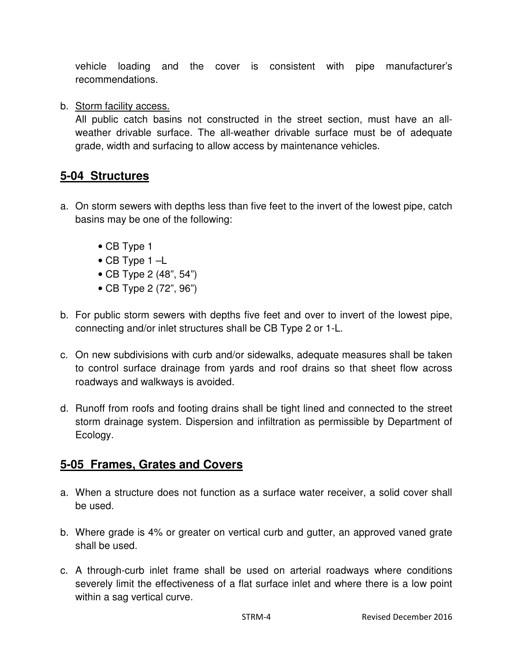vehicle loading and the cover is consistent with pipe manufacturer's recommendations.

b. Storm facility access.

All public catch basins not constructed in the street section, must have an allweather drivable surface. The all-weather drivable surface must be of adequate grade, width and surfacing to allow access by maintenance vehicles.

#### **5-04 Structures**

- a. On storm sewers with depths less than five feet to the invert of the lowest pipe, catch basins may be one of the following:
	- CB Type 1
	- CB Type 1 –L
	- CB Type 2 (48", 54")
	- CB Type 2 (72", 96")
- b. For public storm sewers with depths five feet and over to invert of the lowest pipe, connecting and/or inlet structures shall be CB Type 2 or 1-L.
- c. On new subdivisions with curb and/or sidewalks, adequate measures shall be taken to control surface drainage from yards and roof drains so that sheet flow across roadways and walkways is avoided.
- d. Runoff from roofs and footing drains shall be tight lined and connected to the street storm drainage system. Dispersion and infiltration as permissible by Department of Ecology.

#### **5-05 Frames, Grates and Covers**

- a. When a structure does not function as a surface water receiver, a solid cover shall be used.
- b. Where grade is 4% or greater on vertical curb and gutter, an approved vaned grate shall be used.
- c. A through-curb inlet frame shall be used on arterial roadways where conditions severely limit the effectiveness of a flat surface inlet and where there is a low point within a sag vertical curve.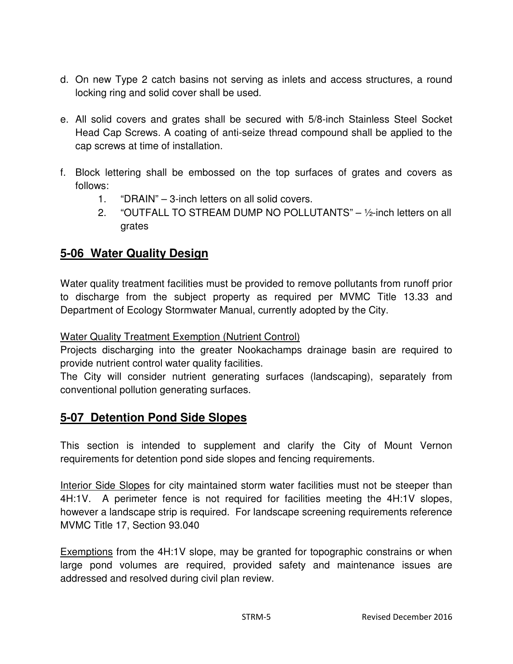- d. On new Type 2 catch basins not serving as inlets and access structures, a round locking ring and solid cover shall be used.
- e. All solid covers and grates shall be secured with 5/8-inch Stainless Steel Socket Head Cap Screws. A coating of anti-seize thread compound shall be applied to the cap screws at time of installation.
- f. Block lettering shall be embossed on the top surfaces of grates and covers as follows:
	- 1. "DRAIN" 3-inch letters on all solid covers.
	- 2. "OUTFALL TO STREAM DUMP NO POLLUTANTS" ½-inch letters on all grates

#### **5-06 Water Quality Design**

Water quality treatment facilities must be provided to remove pollutants from runoff prior to discharge from the subject property as required per MVMC Title 13.33 and Department of Ecology Stormwater Manual, currently adopted by the City.

#### Water Quality Treatment Exemption (Nutrient Control)

Projects discharging into the greater Nookachamps drainage basin are required to provide nutrient control water quality facilities.

The City will consider nutrient generating surfaces (landscaping), separately from conventional pollution generating surfaces.

#### **5-07 Detention Pond Side Slopes**

This section is intended to supplement and clarify the City of Mount Vernon requirements for detention pond side slopes and fencing requirements.

Interior Side Slopes for city maintained storm water facilities must not be steeper than 4H:1V. A perimeter fence is not required for facilities meeting the 4H:1V slopes, however a landscape strip is required. For landscape screening requirements reference MVMC Title 17, Section 93.040

Exemptions from the 4H:1V slope, may be granted for topographic constrains or when large pond volumes are required, provided safety and maintenance issues are addressed and resolved during civil plan review.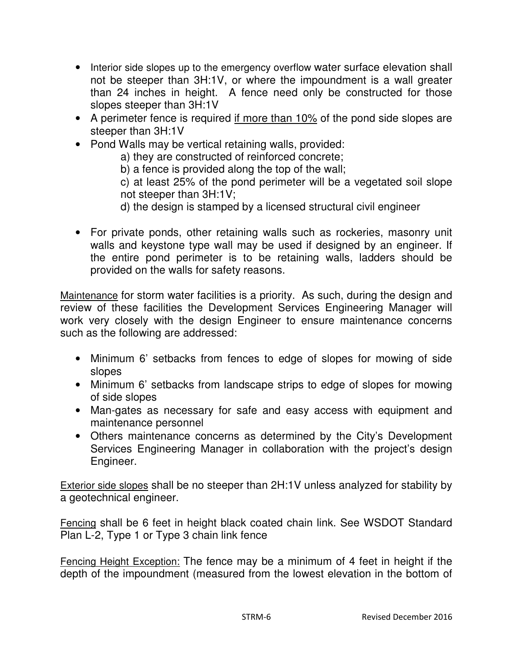- Interior side slopes up to the emergency overflow water surface elevation shall not be steeper than 3H:1V, or where the impoundment is a wall greater than 24 inches in height. A fence need only be constructed for those slopes steeper than 3H:1V
- A perimeter fence is required if more than 10% of the pond side slopes are steeper than 3H:1V
- Pond Walls may be vertical retaining walls, provided:

a) they are constructed of reinforced concrete;

b) a fence is provided along the top of the wall;

c) at least 25% of the pond perimeter will be a vegetated soil slope not steeper than 3H:1V;

- d) the design is stamped by a licensed structural civil engineer
- For private ponds, other retaining walls such as rockeries, masonry unit walls and keystone type wall may be used if designed by an engineer. If the entire pond perimeter is to be retaining walls, ladders should be provided on the walls for safety reasons.

Maintenance for storm water facilities is a priority. As such, during the design and review of these facilities the Development Services Engineering Manager will work very closely with the design Engineer to ensure maintenance concerns such as the following are addressed:

- Minimum 6' setbacks from fences to edge of slopes for mowing of side slopes
- Minimum 6' setbacks from landscape strips to edge of slopes for mowing of side slopes
- Man-gates as necessary for safe and easy access with equipment and maintenance personnel
- Others maintenance concerns as determined by the City's Development Services Engineering Manager in collaboration with the project's design Engineer.

Exterior side slopes shall be no steeper than 2H:1V unless analyzed for stability by a geotechnical engineer.

Fencing shall be 6 feet in height black coated chain link. See WSDOT Standard Plan L-2, Type 1 or Type 3 chain link fence

Fencing Height Exception: The fence may be a minimum of 4 feet in height if the depth of the impoundment (measured from the lowest elevation in the bottom of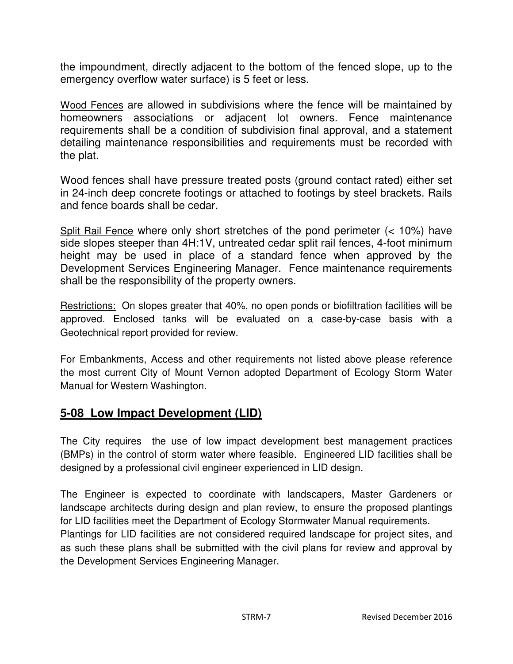the impoundment, directly adjacent to the bottom of the fenced slope, up to the emergency overflow water surface) is 5 feet or less.

Wood Fences are allowed in subdivisions where the fence will be maintained by homeowners associations or adjacent lot owners. Fence maintenance requirements shall be a condition of subdivision final approval, and a statement detailing maintenance responsibilities and requirements must be recorded with the plat.

Wood fences shall have pressure treated posts (ground contact rated) either set in 24-inch deep concrete footings or attached to footings by steel brackets. Rails and fence boards shall be cedar.

Split Rail Fence where only short stretches of the pond perimeter (< 10%) have side slopes steeper than 4H:1V, untreated cedar split rail fences, 4-foot minimum height may be used in place of a standard fence when approved by the Development Services Engineering Manager. Fence maintenance requirements shall be the responsibility of the property owners.

Restrictions: On slopes greater that 40%, no open ponds or biofiltration facilities will be approved. Enclosed tanks will be evaluated on a case-by-case basis with a Geotechnical report provided for review.

For Embankments, Access and other requirements not listed above please reference the most current City of Mount Vernon adopted Department of Ecology Storm Water Manual for Western Washington.

#### **5-08 Low Impact Development (LID)**

The City requires the use of low impact development best management practices (BMPs) in the control of storm water where feasible. Engineered LID facilities shall be designed by a professional civil engineer experienced in LID design.

The Engineer is expected to coordinate with landscapers, Master Gardeners or landscape architects during design and plan review, to ensure the proposed plantings for LID facilities meet the Department of Ecology Stormwater Manual requirements. Plantings for LID facilities are not considered required landscape for project sites, and as such these plans shall be submitted with the civil plans for review and approval by the Development Services Engineering Manager.